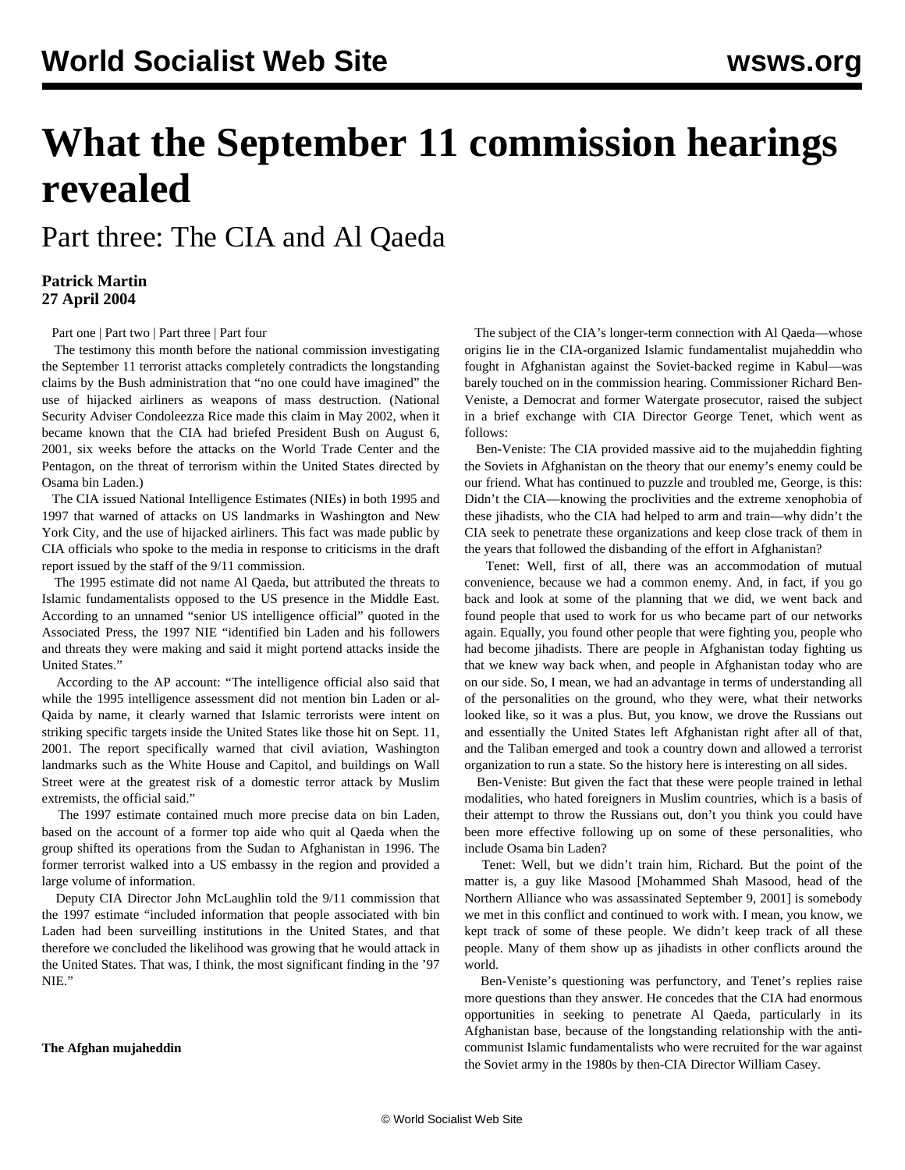# **What the September 11 commission hearings revealed**

## Part three: The CIA and Al Qaeda

#### **Patrick Martin 27 April 2004**

[Part one](/en/articles/2004/04/911-a22.html) | [Part two](/en/articles/2004/04/911-a26.html) | [Part three](/en/articles/2004/04/911-a27.html) | [Part four](/en/articles/2004/05/911-m01.html)

 The testimony this month before the national commission investigating the September 11 terrorist attacks completely contradicts the longstanding claims by the Bush administration that "no one could have imagined" the use of hijacked airliners as weapons of mass destruction. (National Security Adviser Condoleezza Rice made this claim in May 2002, when it became known that the CIA had briefed President Bush on August 6, 2001, six weeks before the attacks on the World Trade Center and the Pentagon, on the threat of terrorism within the United States directed by Osama bin Laden.)

 The CIA issued National Intelligence Estimates (NIEs) in both 1995 and 1997 that warned of attacks on US landmarks in Washington and New York City, and the use of hijacked airliners. This fact was made public by CIA officials who spoke to the media in response to criticisms in the draft report issued by the staff of the 9/11 commission.

 The 1995 estimate did not name Al Qaeda, but attributed the threats to Islamic fundamentalists opposed to the US presence in the Middle East. According to an unnamed "senior US intelligence official" quoted in the Associated Press, the 1997 NIE "identified bin Laden and his followers and threats they were making and said it might portend attacks inside the United States."

 According to the AP account: "The intelligence official also said that while the 1995 intelligence assessment did not mention bin Laden or al-Qaida by name, it clearly warned that Islamic terrorists were intent on striking specific targets inside the United States like those hit on Sept. 11, 2001. The report specifically warned that civil aviation, Washington landmarks such as the White House and Capitol, and buildings on Wall Street were at the greatest risk of a domestic terror attack by Muslim extremists, the official said."

 The 1997 estimate contained much more precise data on bin Laden, based on the account of a former top aide who quit al Qaeda when the group shifted its operations from the Sudan to Afghanistan in 1996. The former terrorist walked into a US embassy in the region and provided a large volume of information.

 Deputy CIA Director John McLaughlin told the 9/11 commission that the 1997 estimate "included information that people associated with bin Laden had been surveilling institutions in the United States, and that therefore we concluded the likelihood was growing that he would attack in the United States. That was, I think, the most significant finding in the '97 NIE."

**The Afghan mujaheddin**

 The subject of the CIA's longer-term connection with Al Qaeda—whose origins lie in the CIA-organized Islamic fundamentalist mujaheddin who fought in Afghanistan against the Soviet-backed regime in Kabul—was barely touched on in the commission hearing. Commissioner Richard Ben-Veniste, a Democrat and former Watergate prosecutor, raised the subject in a brief exchange with CIA Director George Tenet, which went as follows:

 Ben-Veniste: The CIA provided massive aid to the mujaheddin fighting the Soviets in Afghanistan on the theory that our enemy's enemy could be our friend. What has continued to puzzle and troubled me, George, is this: Didn't the CIA—knowing the proclivities and the extreme xenophobia of these jihadists, who the CIA had helped to arm and train—why didn't the CIA seek to penetrate these organizations and keep close track of them in the years that followed the disbanding of the effort in Afghanistan?

 Tenet: Well, first of all, there was an accommodation of mutual convenience, because we had a common enemy. And, in fact, if you go back and look at some of the planning that we did, we went back and found people that used to work for us who became part of our networks again. Equally, you found other people that were fighting you, people who had become jihadists. There are people in Afghanistan today fighting us that we knew way back when, and people in Afghanistan today who are on our side. So, I mean, we had an advantage in terms of understanding all of the personalities on the ground, who they were, what their networks looked like, so it was a plus. But, you know, we drove the Russians out and essentially the United States left Afghanistan right after all of that, and the Taliban emerged and took a country down and allowed a terrorist organization to run a state. So the history here is interesting on all sides.

 Ben-Veniste: But given the fact that these were people trained in lethal modalities, who hated foreigners in Muslim countries, which is a basis of their attempt to throw the Russians out, don't you think you could have been more effective following up on some of these personalities, who include Osama bin Laden?

 Tenet: Well, but we didn't train him, Richard. But the point of the matter is, a guy like Masood [Mohammed Shah Masood, head of the Northern Alliance who was assassinated September 9, 2001] is somebody we met in this conflict and continued to work with. I mean, you know, we kept track of some of these people. We didn't keep track of all these people. Many of them show up as jihadists in other conflicts around the world.

 Ben-Veniste's questioning was perfunctory, and Tenet's replies raise more questions than they answer. He concedes that the CIA had enormous opportunities in seeking to penetrate Al Qaeda, particularly in its Afghanistan base, because of the longstanding relationship with the anticommunist Islamic fundamentalists who were recruited for the war against the Soviet army in the 1980s by then-CIA Director William Casey.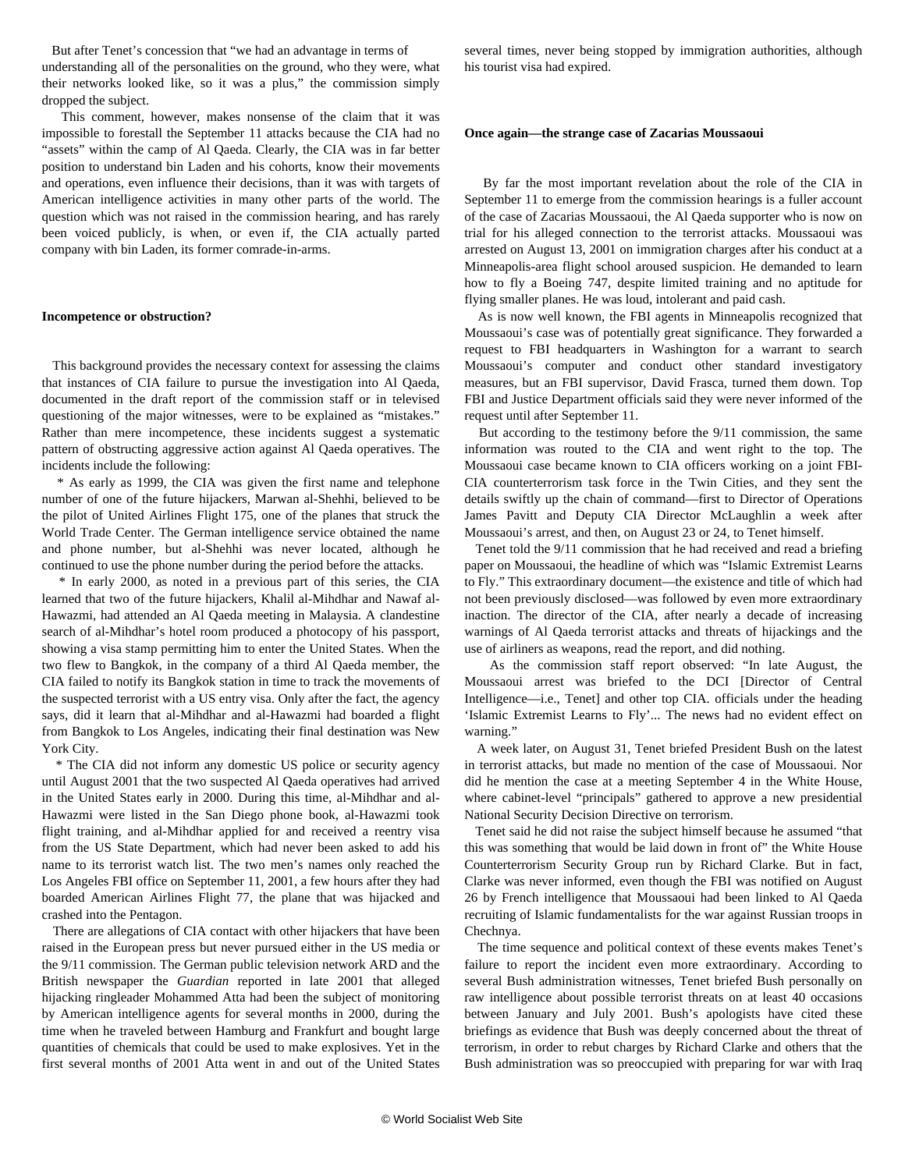But after Tenet's concession that "we had an advantage in terms of understanding all of the personalities on the ground, who they were, what their networks looked like, so it was a plus," the commission simply dropped the subject.

 This comment, however, makes nonsense of the claim that it was impossible to forestall the September 11 attacks because the CIA had no "assets" within the camp of Al Qaeda. Clearly, the CIA was in far better position to understand bin Laden and his cohorts, know their movements and operations, even influence their decisions, than it was with targets of American intelligence activities in many other parts of the world. The question which was not raised in the commission hearing, and has rarely been voiced publicly, is when, or even if, the CIA actually parted company with bin Laden, its former comrade-in-arms.

#### **Incompetence or obstruction?**

 This background provides the necessary context for assessing the claims that instances of CIA failure to pursue the investigation into Al Qaeda, documented in the draft report of the commission staff or in televised questioning of the major witnesses, were to be explained as "mistakes." Rather than mere incompetence, these incidents suggest a systematic pattern of obstructing aggressive action against Al Qaeda operatives. The incidents include the following:

 \* As early as 1999, the CIA was given the first name and telephone number of one of the future hijackers, Marwan al-Shehhi, believed to be the pilot of United Airlines Flight 175, one of the planes that struck the World Trade Center. The German intelligence service obtained the name and phone number, but al-Shehhi was never located, although he continued to use the phone number during the period before the attacks.

 \* In early 2000, as noted in a previous part of this series, the CIA learned that two of the future hijackers, Khalil al-Mihdhar and Nawaf al-Hawazmi, had attended an Al Qaeda meeting in Malaysia. A clandestine search of al-Mihdhar's hotel room produced a photocopy of his passport, showing a visa stamp permitting him to enter the United States. When the two flew to Bangkok, in the company of a third Al Qaeda member, the CIA failed to notify its Bangkok station in time to track the movements of the suspected terrorist with a US entry visa. Only after the fact, the agency says, did it learn that al-Mihdhar and al-Hawazmi had boarded a flight from Bangkok to Los Angeles, indicating their final destination was New York City.

 \* The CIA did not inform any domestic US police or security agency until August 2001 that the two suspected Al Qaeda operatives had arrived in the United States early in 2000. During this time, al-Mihdhar and al-Hawazmi were listed in the San Diego phone book, al-Hawazmi took flight training, and al-Mihdhar applied for and received a reentry visa from the US State Department, which had never been asked to add his name to its terrorist watch list. The two men's names only reached the Los Angeles FBI office on September 11, 2001, a few hours after they had boarded American Airlines Flight 77, the plane that was hijacked and crashed into the Pentagon.

 There are allegations of CIA contact with other hijackers that have been raised in the European press but never pursued either in the US media or the 9/11 commission. The German public television network ARD and the British newspaper the *Guardian* reported in late 2001 that alleged hijacking ringleader Mohammed Atta had been the subject of monitoring by American intelligence agents for several months in 2000, during the time when he traveled between Hamburg and Frankfurt and bought large quantities of chemicals that could be used to make explosives. Yet in the first several months of 2001 Atta went in and out of the United States

several times, never being stopped by immigration authorities, although his tourist visa had expired.

#### **Once again—the strange case of Zacarias Moussaoui**

 By far the most important revelation about the role of the CIA in September 11 to emerge from the commission hearings is a fuller account of the case of Zacarias Moussaoui, the Al Qaeda supporter who is now on trial for his alleged connection to the terrorist attacks. Moussaoui was arrested on August 13, 2001 on immigration charges after his conduct at a Minneapolis-area flight school aroused suspicion. He demanded to learn how to fly a Boeing 747, despite limited training and no aptitude for flying smaller planes. He was loud, intolerant and paid cash.

 As is now well known, the FBI agents in Minneapolis recognized that Moussaoui's case was of potentially great significance. They forwarded a request to FBI headquarters in Washington for a warrant to search Moussaoui's computer and conduct other standard investigatory measures, but an FBI supervisor, David Frasca, turned them down. Top FBI and Justice Department officials said they were never informed of the request until after September 11.

 But according to the testimony before the 9/11 commission, the same information was routed to the CIA and went right to the top. The Moussaoui case became known to CIA officers working on a joint FBI-CIA counterterrorism task force in the Twin Cities, and they sent the details swiftly up the chain of command—first to Director of Operations James Pavitt and Deputy CIA Director McLaughlin a week after Moussaoui's arrest, and then, on August 23 or 24, to Tenet himself.

 Tenet told the 9/11 commission that he had received and read a briefing paper on Moussaoui, the headline of which was "Islamic Extremist Learns to Fly." This extraordinary document—the existence and title of which had not been previously disclosed—was followed by even more extraordinary inaction. The director of the CIA, after nearly a decade of increasing warnings of Al Qaeda terrorist attacks and threats of hijackings and the use of airliners as weapons, read the report, and did nothing.

 As the commission staff report observed: "In late August, the Moussaoui arrest was briefed to the DCI [Director of Central Intelligence—i.e., Tenet] and other top CIA. officials under the heading 'Islamic Extremist Learns to Fly'... The news had no evident effect on warning."

 A week later, on August 31, Tenet briefed President Bush on the latest in terrorist attacks, but made no mention of the case of Moussaoui. Nor did he mention the case at a meeting September 4 in the White House, where cabinet-level "principals" gathered to approve a new presidential National Security Decision Directive on terrorism.

 Tenet said he did not raise the subject himself because he assumed "that this was something that would be laid down in front of" the White House Counterterrorism Security Group run by Richard Clarke. But in fact, Clarke was never informed, even though the FBI was notified on August 26 by French intelligence that Moussaoui had been linked to Al Qaeda recruiting of Islamic fundamentalists for the war against Russian troops in Chechnya.

 The time sequence and political context of these events makes Tenet's failure to report the incident even more extraordinary. According to several Bush administration witnesses, Tenet briefed Bush personally on raw intelligence about possible terrorist threats on at least 40 occasions between January and July 2001. Bush's apologists have cited these briefings as evidence that Bush was deeply concerned about the threat of terrorism, in order to rebut charges by Richard Clarke and others that the Bush administration was so preoccupied with preparing for war with Iraq